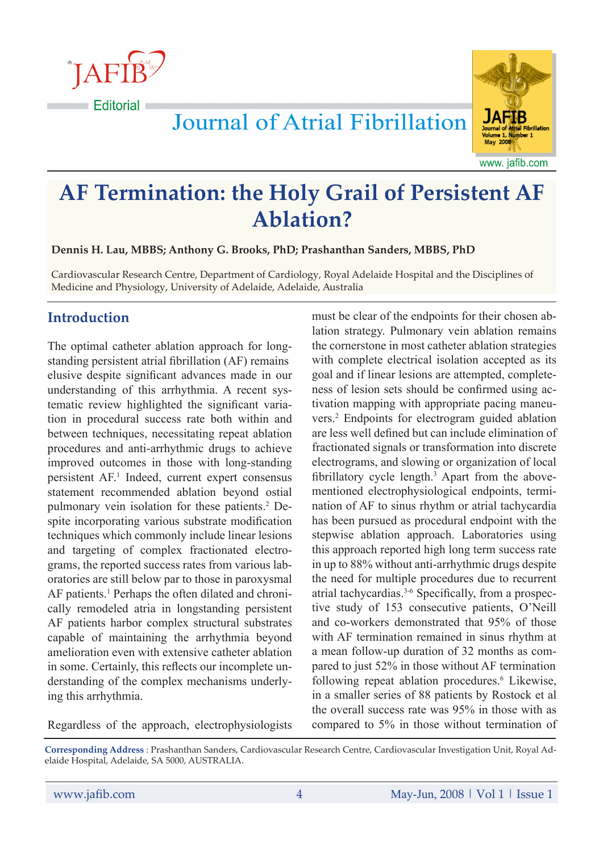**JAFIE Editorial** 



www. jafib.com

# **AF Termination: the Holy Grail of Persistent AF Ablation?**

**Journal of Atrial Fibrillation** 

**Dennis H. Lau, MBBS; Anthony G. Brooks, PhD; Prashanthan Sanders, MBBS, PhD**

Cardiovascular Research Centre, Department of Cardiology, Royal Adelaide Hospital and the Disciplines of Medicine and Physiology, University of Adelaide, Adelaide, Australia

## **Introduction**

The optimal catheter ablation approach for longstanding persistent atrial fibrillation (AF) remains elusive despite significant advances made in our understanding of this arrhythmia. A recent systematic review highlighted the significant variation in procedural success rate both within and between techniques, necessitating repeat ablation procedures and anti-arrhythmic drugs to achieve improved outcomes in those with long-standing persistent AF.<sup>1</sup> Indeed, current expert consensus statement recommended ablation beyond ostial pulmonary vein isolation for these patients.<sup>2</sup> Despite incorporating various substrate modification techniques which commonly include linear lesions and targeting of complex fractionated electrograms, the reported success rates from various laboratories are still below par to those in paroxysmal AF patients.<sup>1</sup> Perhaps the often dilated and chronically remodeled atria in longstanding persistent AF patients harbor complex structural substrates capable of maintaining the arrhythmia beyond amelioration even with extensive catheter ablation in some. Certainly, this reflects our incomplete understanding of the complex mechanisms underlying this arrhythmia.

Regardless of the approach, electrophysiologists

must be clear of the endpoints for their chosen ablation strategy. Pulmonary vein ablation remains the cornerstone in most catheter ablation strategies with complete electrical isolation accepted as its goal and if linear lesions are attempted, completeness of lesion sets should be confirmed using activation mapping with appropriate pacing maneuvers.2 Endpoints for electrogram guided ablation are less well defined but can include elimination of fractionated signals or transformation into discrete electrograms, and slowing or organization of local fibrillatory cycle length.<sup>3</sup> Apart from the abovementioned electrophysiological endpoints, termination of AF to sinus rhythm or atrial tachycardia has been pursued as procedural endpoint with the stepwise ablation approach. Laboratories using this approach reported high long term success rate in up to 88% without anti-arrhythmic drugs despite the need for multiple procedures due to recurrent atrial tachycardias.3-6 Specifically, from a prospective study of 153 consecutive patients, O'Neill and co-workers demonstrated that 95% of those with AF termination remained in sinus rhythm at a mean follow-up duration of 32 months as compared to just 52% in those without AF termination following repeat ablation procedures.<sup>6</sup> Likewise, in a smaller series of 88 patients by Rostock et al the overall success rate was 95% in those with as compared to 5% in those without termination of

**Corresponding Address** : Prashanthan Sanders, Cardiovascular Research Centre, Cardiovascular Investigation Unit, Royal Adelaide Hospital, Adelaide, SA 5000, AUSTRALIA.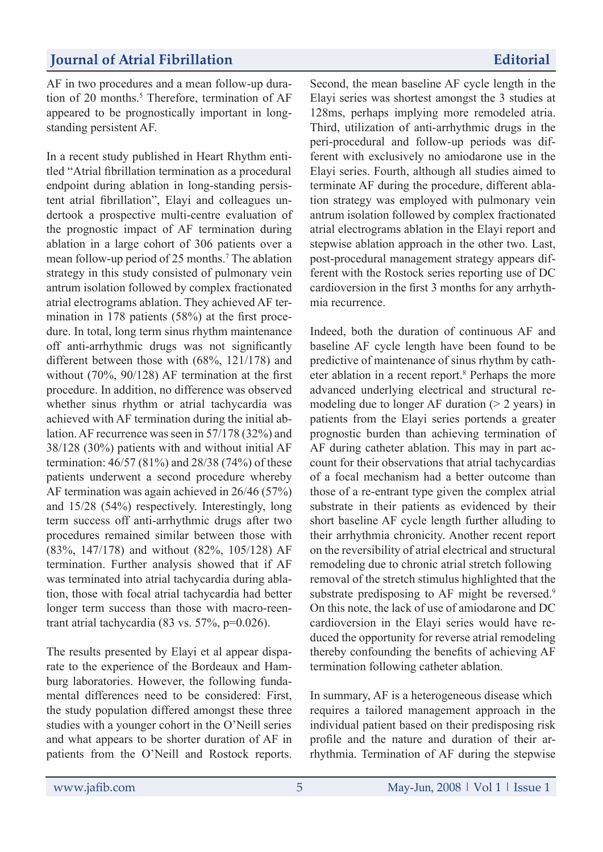## **Journal of Atrial Fibrillation Editorial**

AF in two procedures and a mean follow-up duration of 20 months.<sup>5</sup> Therefore, termination of AF appeared to be prognostically important in longstanding persistent AF.

In a recent study published in Heart Rhythm entitled "Atrial fibrillation termination as a procedural endpoint during ablation in long-standing persistent atrial fibrillation", Elayi and colleagues undertook a prospective multi-centre evaluation of the prognostic impact of AF termination during ablation in a large cohort of 306 patients over a mean follow-up period of 25 months.<sup>7</sup> The ablation strategy in this study consisted of pulmonary vein antrum isolation followed by complex fractionated atrial electrograms ablation. They achieved AF termination in 178 patients (58%) at the first procedure. In total, long term sinus rhythm maintenance off anti-arrhythmic drugs was not significantly different between those with (68%, 121/178) and without (70%, 90/128) AF termination at the first procedure. In addition, no difference was observed whether sinus rhythm or atrial tachycardia was achieved with AF termination during the initial ablation. AF recurrence was seen in 57/178 (32%) and 38/128 (30%) patients with and without initial AF termination: 46/57 (81%) and 28/38 (74%) of these patients underwent a second procedure whereby AF termination was again achieved in 26/46 (57%) and 15/28 (54%) respectively. Interestingly, long term success off anti-arrhythmic drugs after two procedures remained similar between those with (83%, 147/178) and without (82%, 105/128) AF termination. Further analysis showed that if AF was terminated into atrial tachycardia during ablation, those with focal atrial tachycardia had better longer term success than those with macro-reentrant atrial tachycardia (83 vs. 57%, p=0.026).

The results presented by Elayi et al appear disparate to the experience of the Bordeaux and Hamburg laboratories. However, the following fundamental differences need to be considered: First, the study population differed amongst these three studies with a younger cohort in the O'Neill series and what appears to be shorter duration of AF in patients from the O'Neill and Rostock reports. Second, the mean baseline AF cycle length in the Elayi series was shortest amongst the 3 studies at 128ms, perhaps implying more remodeled atria. Third, utilization of anti-arrhythmic drugs in the peri-procedural and follow-up periods was different with exclusively no amiodarone use in the Elayi series. Fourth, although all studies aimed to terminate AF during the procedure, different ablation strategy was employed with pulmonary vein antrum isolation followed by complex fractionated atrial electrograms ablation in the Elayi report and stepwise ablation approach in the other two. Last, post-procedural management strategy appears different with the Rostock series reporting use of DC cardioversion in the first 3 months for any arrhythmia recurrence.

Indeed, both the duration of continuous AF and baseline AF cycle length have been found to be predictive of maintenance of sinus rhythm by catheter ablation in a recent report.8 Perhaps the more advanced underlying electrical and structural remodeling due to longer AF duration  $(> 2 \text{ years})$  in patients from the Elayi series portends a greater prognostic burden than achieving termination of AF during catheter ablation. This may in part account for their observations that atrial tachycardias of a focal mechanism had a better outcome than those of a re-entrant type given the complex atrial substrate in their patients as evidenced by their short baseline AF cycle length further alluding to their arrhythmia chronicity. Another recent report on the reversibility of atrial electrical and structural remodeling due to chronic atrial stretch following removal of the stretch stimulus highlighted that the substrate predisposing to AF might be reversed.<sup>9</sup> On this note, the lack of use of amiodarone and DC cardioversion in the Elayi series would have reduced the opportunity for reverse atrial remodeling thereby confounding the benefits of achieving AF termination following catheter ablation.

In summary, AF is a heterogeneous disease which requires a tailored management approach in the individual patient based on their predisposing risk profile and the nature and duration of their arrhythmia. Termination of AF during the stepwise